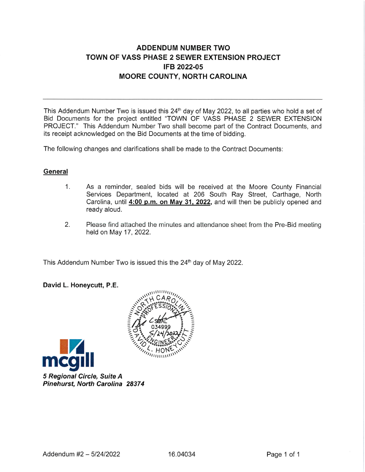## **ADDENDUM NUMBER TWO** TOWN OF VASS PHASE 2 SEWER EXTENSION PROJECT IFB 2022-05 **MOORE COUNTY, NORTH CAROLINA**

This Addendum Number Two is issued this 24<sup>th</sup> day of May 2022, to all parties who hold a set of Bid Documents for the project entitled "TOWN OF VASS PHASE 2 SEWER EXTENSION PROJECT." This Addendum Number Two shall become part of the Contract Documents, and its receipt acknowledged on the Bid Documents at the time of bidding.

The following changes and clarifications shall be made to the Contract Documents:

## General

- $1<sup>1</sup>$ As a reminder, sealed bids will be received at the Moore County Financial Services Department, located at 206 South Ray Street, Carthage, North Carolina, until 4:00 p.m. on May 31, 2022, and will then be publicly opened and ready aloud.
- 2. Please find attached the minutes and attendance sheet from the Pre-Bid meeting held on May 17, 2022.

This Addendum Number Two is issued this the 24th day of May 2022.

## David L. Honeycutt, P.E.



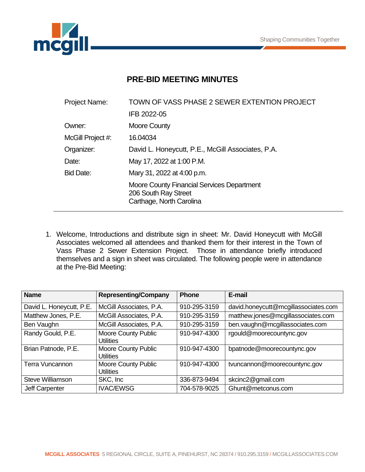

## **PRE-BID MEETING MINUTES**

| <b>Project Name:</b> | TOWN OF VASS PHASE 2 SEWER EXTENTION PROJECT                                                   |  |  |
|----------------------|------------------------------------------------------------------------------------------------|--|--|
|                      | IFB 2022-05                                                                                    |  |  |
| Owner:               | Moore County                                                                                   |  |  |
| McGill Project #:    | 16.04034                                                                                       |  |  |
| Organizer:           | David L. Honeycutt, P.E., McGill Associates, P.A.                                              |  |  |
| Date:                | May 17, 2022 at 1:00 P.M.                                                                      |  |  |
| <b>Bid Date:</b>     | Mary 31, 2022 at 4:00 p.m.                                                                     |  |  |
|                      | Moore County Financial Services Department<br>206 South Ray Street<br>Carthage, North Carolina |  |  |

1. Welcome, Introductions and distribute sign in sheet: Mr. David Honeycutt with McGill Associates welcomed all attendees and thanked them for their interest in the Town of Vass Phase 2 Sewer Extension Project. Those in attendance briefly introduced themselves and a sign in sheet was circulated. The following people were in attendance at the Pre-Bid Meeting:

| <b>Name</b>              | <b>Representing/Company</b>             | <b>Phone</b> | E-mail                               |
|--------------------------|-----------------------------------------|--------------|--------------------------------------|
| David L. Honeycutt, P.E. | McGill Associates, P.A.                 | 910-295-3159 | david.honeycutt@mcgillassociates.com |
| Matthew Jones, P.E.      | McGill Associates, P.A.                 | 910-295-3159 | matthew.jones@mcgillassociates.com   |
| Ben Vaughn               | McGill Associates, P.A.                 | 910-295-3159 | ben.vaughn@mcgillassociates.com      |
| Randy Gould, P.E.        | <b>Moore County Public</b><br>Utilities | 910-947-4300 | rgould@moorecountync.gov             |
| Brian Patnode, P.E.      | <b>Moore County Public</b><br>Utilities | 910-947-4300 | bpatnode@moorecountync.gov           |
| <b>Terra Vuncannon</b>   | Moore County Public<br>Utilities        | 910-947-4300 | tvuncannon@moorecountync.gov         |
| Steve Williamson         | SKC, Inc.                               | 336-873-9494 | skcinc2@gmail.com                    |
| Jeff Carpenter           | <b>IVAC/EWSG</b>                        | 704-578-9025 | Ghunt@metconus.com                   |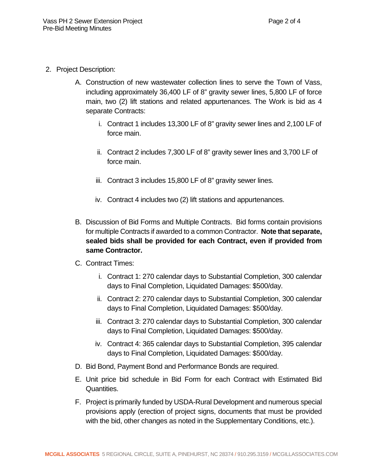- 2. Project Description:
	- A. Construction of new wastewater collection lines to serve the Town of Vass, including approximately 36,400 LF of 8" gravity sewer lines, 5,800 LF of force main, two (2) lift stations and related appurtenances. The Work is bid as 4 separate Contracts:
		- i. Contract 1 includes 13,300 LF of 8" gravity sewer lines and 2,100 LF of force main.
		- ii. Contract 2 includes 7,300 LF of 8" gravity sewer lines and 3,700 LF of force main.
		- iii. Contract 3 includes 15,800 LF of 8" gravity sewer lines.
		- iv. Contract 4 includes two (2) lift stations and appurtenances.
	- B. Discussion of Bid Forms and Multiple Contracts. Bid forms contain provisions for multiple Contracts if awarded to a common Contractor. **Note that separate, sealed bids shall be provided for each Contract, even if provided from same Contractor.**
	- C. Contract Times:
		- i. Contract 1: 270 calendar days to Substantial Completion, 300 calendar days to Final Completion, Liquidated Damages: \$500/day.
		- ii. Contract 2: 270 calendar days to Substantial Completion, 300 calendar days to Final Completion, Liquidated Damages: \$500/day.
		- iii. Contract 3: 270 calendar days to Substantial Completion, 300 calendar days to Final Completion, Liquidated Damages: \$500/day.
		- iv. Contract 4: 365 calendar days to Substantial Completion, 395 calendar days to Final Completion, Liquidated Damages: \$500/day.
	- D. Bid Bond, Payment Bond and Performance Bonds are required.
	- E. Unit price bid schedule in Bid Form for each Contract with Estimated Bid Quantities.
	- F. Project is primarily funded by USDA-Rural Development and numerous special provisions apply (erection of project signs, documents that must be provided with the bid, other changes as noted in the Supplementary Conditions, etc.).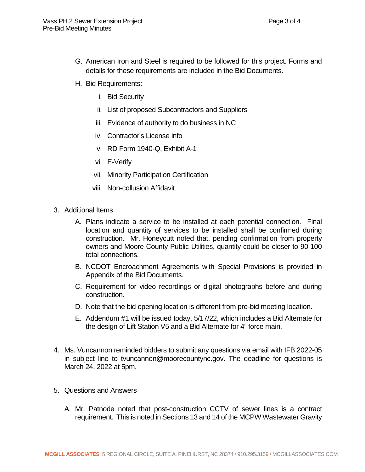- G. American Iron and Steel is required to be followed for this project. Forms and details for these requirements are included in the Bid Documents.
- H. Bid Requirements:
	- i. Bid Security
	- ii. List of proposed Subcontractors and Suppliers
	- iii. Evidence of authority to do business in NC
	- iv. Contractor's License info
	- v. RD Form 1940-Q, Exhibit A-1
	- vi. E-Verify
	- vii. Minority Participation Certification
	- viii. Non-collusion Affidavit
- 3. Additional Items
	- A. Plans indicate a service to be installed at each potential connection. Final location and quantity of services to be installed shall be confirmed during construction. Mr. Honeycutt noted that, pending confirmation from property owners and Moore County Public Utilities, quantity could be closer to 90-100 total connections.
	- B. NCDOT Encroachment Agreements with Special Provisions is provided in Appendix of the Bid Documents.
	- C. Requirement for video recordings or digital photographs before and during construction.
	- D. Note that the bid opening location is different from pre-bid meeting location.
	- E. Addendum #1 will be issued today, 5/17/22, which includes a Bid Alternate for the design of Lift Station V5 and a Bid Alternate for 4" force main.
- 4. Ms. Vuncannon reminded bidders to submit any questions via email with IFB 2022-05 in subject line to tvuncannon@moorecountync.gov. The deadline for questions is March 24, 2022 at 5pm.
- 5. Questions and Answers
	- A. Mr. Patnode noted that post-construction CCTV of sewer lines is a contract requirement. This is noted in Sections 13 and 14 of the MCPW Wastewater Gravity